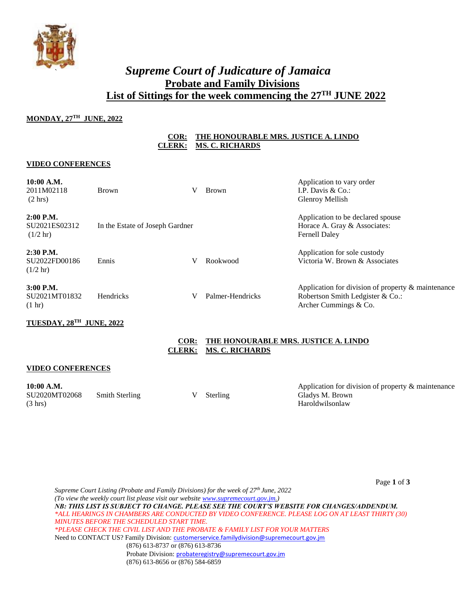

## ` *Supreme Court of Judicature of Jamaica* **Probate and Family Divisions List of Sittings for the week commencing the 27TH JUNE 2022**

## **MONDAY, 27TH JUNE, 2022**

## **COR: THE HONOURABLE MRS. JUSTICE A. LINDO CLERK: MS. C. RICHARDS**

### **VIDEO CONFERENCES**

| 10:00 A.M.<br>2011M02118<br>$(2 \text{ hrs})$                               | <b>Brown</b>                    | V | <b>Brown</b>     | Application to vary order<br>I.P. Davis & Co.:<br>Glenroy Mellish                                               |
|-----------------------------------------------------------------------------|---------------------------------|---|------------------|-----------------------------------------------------------------------------------------------------------------|
| $2:00$ P.M.<br>SU <sub>2021</sub> ES <sub>02312</sub><br>$(1/2 \text{ hr})$ | In the Estate of Joseph Gardner |   |                  | Application to be declared spouse<br>Horace A. Gray & Associates:<br><b>Fernell Daley</b>                       |
| $2:30$ P.M.<br>SU2022FD00186<br>$(1/2 \text{ hr})$                          | Ennis                           | V | Rookwood         | Application for sole custody<br>Victoria W. Brown & Associates                                                  |
| $3:00$ P.M.<br>SU2021MT01832<br>$(1 \text{ hr})$                            | <b>Hendricks</b>                | V | Palmer-Hendricks | Application for division of property & maintenance<br>Robertson Smith Ledgister & Co.:<br>Archer Cummings & Co. |

## **TUESDAY, 28TH JUNE, 2022**



### **VIDEO CONFERENCES**

**10:00 A.M.**  SU2020MT02068 (3 hrs) Smith Sterling V Sterling

Application for division of property & maintenance Gladys M. Brown Haroldwilsonlaw

Page **1** of **3**

*Supreme Court Listing (Probate and Family Divisions) for the week of 27th June, 2022 (To view the weekly court list please visit our websit[e www.supremecourt.gov.jm.](http://www.supremecourt.gov.jm/)) NB: THIS LIST IS SUBJECT TO CHANGE. PLEASE SEE THE COURT'S WEBSITE FOR CHANGES/ADDENDUM. \*ALL HEARINGS IN CHAMBERS ARE CONDUCTED BY VIDEO CONFERENCE. PLEASE LOG ON AT LEAST THIRTY (30) MINUTES BEFORE THE SCHEDULED START TIME. \*PLEASE CHECK THE CIVIL LIST AND THE PROBATE & FAMILY LIST FOR YOUR MATTERS* Need to CONTACT US? Family Division: [customerservice.familydivision@supremecourt.gov.jm](mailto:customerservice.familydivision@supremecourt.gov.jm) (876) 613-8737 or (876) 613-8736 Probate Division: [probateregistry@supremecourt.gov.jm](mailto:probateregistry@supremecourt.gov.jm) (876) 613-8656 or (876) 584-6859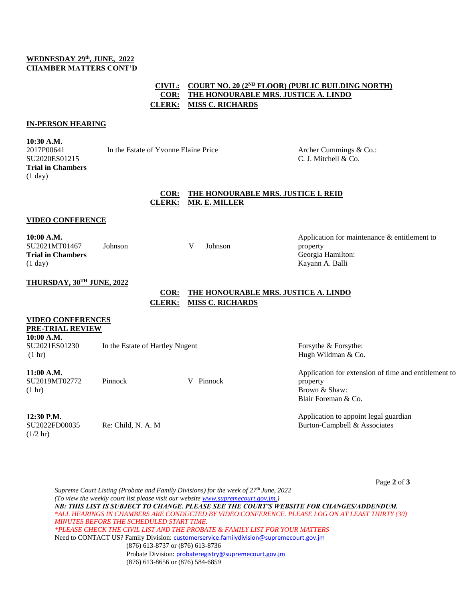## **WEDNESDAY 29th, JUNE, 2022 CHAMBER MATTERS CONT'D**

## **CIVIL: COURT NO. 20 (2<sup>ND</sup> FLOOR) (PUBLIC BUILDING NORTH) COR: THE HONOURABLE MRS. JUSTICE A. LINDO CLERK: MISS C. RICHARDS**

#### **IN-PERSON HEARING**

**10:30 A.M.** 2017P00641 SU2020ES01215 **Trial in Chambers** (1 day)

In the Estate of Yvonne Elaine Price Archer Cummings & Co.:

C. J. Mitchell & Co.

## **COR: THE HONOURABLE MRS. JUSTICE I. REID CLERK: MR. E. MILLER**

### **VIDEO CONFERENCE**

**10:00 A.M.** SU2021MT01467 **Trial in Chambers**  (1 day)

Johnson V Johnson

Application for maintenance & entitlement to property Georgia Hamilton: Kayann A. Balli

## **THURSDAY, 30TH JUNE, 2022**

## **COR: THE HONOURABLE MRS. JUSTICE A. LINDO CLERK: MISS C. RICHARDS**

## **VIDEO CONFERENCES**

**PRE-TRIAL REVIEW**

**10:00 A.M.** SU2021ES01230 (1 hr) In the Estate of Hartley Nugent Forsythe & Forsythe:

## **11:00 A.M.**

SU2019MT02772 (1 hr)

Pinnock V Pinnock

### **12:30 P.M.**

SU2022FD00035  $(1/2 \text{ hr})$ 

Re: Child, N. A. M

# Hugh Wildman & Co.

Application for extension of time and entitlement to property Brown & Shaw: Blair Foreman & Co.

Application to appoint legal guardian Burton-Campbell & Associates

Page **2** of **3**

*Supreme Court Listing (Probate and Family Divisions) for the week of 27th June, 2022 (To view the weekly court list please visit our websit[e www.supremecourt.gov.jm.](http://www.supremecourt.gov.jm/)) NB: THIS LIST IS SUBJECT TO CHANGE. PLEASE SEE THE COURT'S WEBSITE FOR CHANGES/ADDENDUM. \*ALL HEARINGS IN CHAMBERS ARE CONDUCTED BY VIDEO CONFERENCE. PLEASE LOG ON AT LEAST THIRTY (30) MINUTES BEFORE THE SCHEDULED START TIME. \*PLEASE CHECK THE CIVIL LIST AND THE PROBATE & FAMILY LIST FOR YOUR MATTERS* Need to CONTACT US? Family Division: [customerservice.familydivision@supremecourt.gov.jm](mailto:customerservice.familydivision@supremecourt.gov.jm) (876) 613-8737 or (876) 613-8736 Probate Division: [probateregistry@supremecourt.gov.jm](mailto:probateregistry@supremecourt.gov.jm) (876) 613-8656 or (876) 584-6859